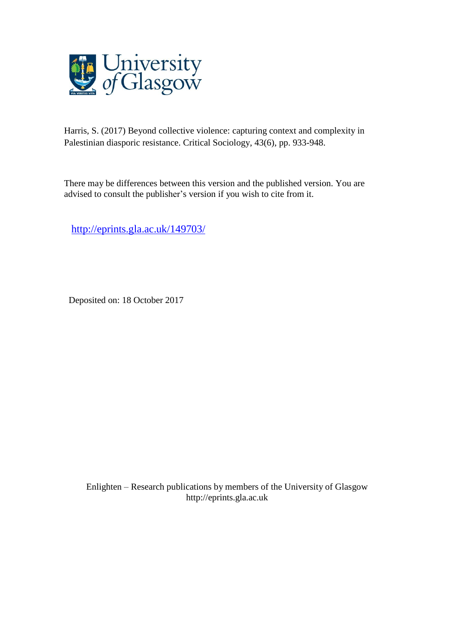

Harris, S. (2017) Beyond collective violence: capturing context and complexity in Palestinian diasporic resistance. Critical Sociology, 43(6), pp. 933-948.

There may be differences between this version and the published version. You are advised to consult the publisher's version if you wish to cite from it.

<http://eprints.gla.ac.uk/149703/>

Deposited on: 18 October 2017

Enlighten – Research publications by members of the University of Glasgo[w](http://eprints.gla.ac.uk/) [http://eprints.gla.ac.uk](http://eprints.gla.ac.uk/)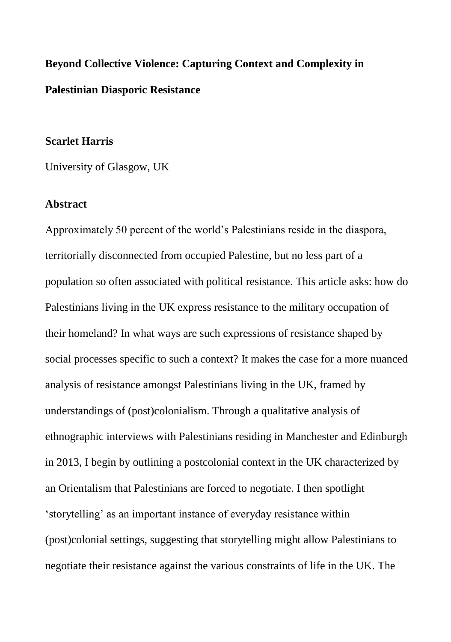# **Beyond Collective Violence: Capturing Context and Complexity in Palestinian Diasporic Resistance**

### **Scarlet Harris**

University of Glasgow, UK

### **Abstract**

Approximately 50 percent of the world's Palestinians reside in the diaspora, territorially disconnected from occupied Palestine, but no less part of a population so often associated with political resistance. This article asks: how do Palestinians living in the UK express resistance to the military occupation of their homeland? In what ways are such expressions of resistance shaped by social processes specific to such a context? It makes the case for a more nuanced analysis of resistance amongst Palestinians living in the UK, framed by understandings of (post)colonialism. Through a qualitative analysis of ethnographic interviews with Palestinians residing in Manchester and Edinburgh in 2013, I begin by outlining a postcolonial context in the UK characterized by an Orientalism that Palestinians are forced to negotiate. I then spotlight 'storytelling' as an important instance of everyday resistance within (post)colonial settings, suggesting that storytelling might allow Palestinians to negotiate their resistance against the various constraints of life in the UK. The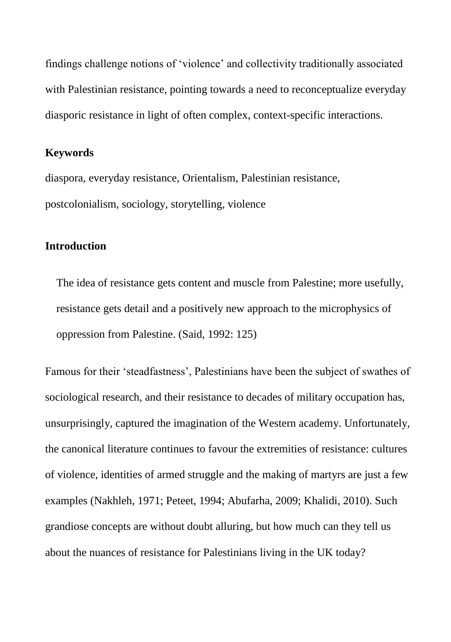findings challenge notions of 'violence' and collectivity traditionally associated with Palestinian resistance, pointing towards a need to reconceptualize everyday diasporic resistance in light of often complex, context-specific interactions.

## **Keywords**

diaspora, everyday resistance, Orientalism, Palestinian resistance, postcolonialism, sociology, storytelling, violence

## **Introduction**

The idea of resistance gets content and muscle from Palestine; more usefully, resistance gets detail and a positively new approach to the microphysics of oppression from Palestine. (Said, 1992: 125)

Famous for their 'steadfastness', Palestinians have been the subject of swathes of sociological research, and their resistance to decades of military occupation has, unsurprisingly, captured the imagination of the Western academy. Unfortunately, the canonical literature continues to favour the extremities of resistance: cultures of violence, identities of armed struggle and the making of martyrs are just a few examples (Nakhleh, 1971; Peteet, 1994; Abufarha, 2009; Khalidi, 2010). Such grandiose concepts are without doubt alluring, but how much can they tell us about the nuances of resistance for Palestinians living in the UK today?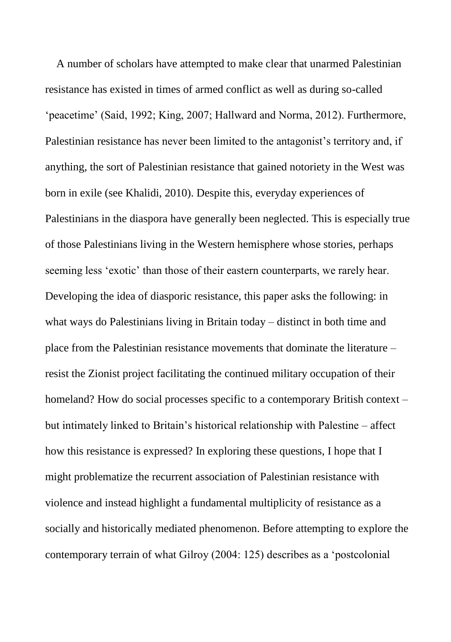A number of scholars have attempted to make clear that unarmed Palestinian resistance has existed in times of armed conflict as well as during so-called 'peacetime' (Said, 1992; King, 2007; Hallward and Norma, 2012). Furthermore, Palestinian resistance has never been limited to the antagonist's territory and, if anything, the sort of Palestinian resistance that gained notoriety in the West was born in exile (see Khalidi, 2010). Despite this, everyday experiences of Palestinians in the diaspora have generally been neglected. This is especially true of those Palestinians living in the Western hemisphere whose stories, perhaps seeming less 'exotic' than those of their eastern counterparts, we rarely hear. Developing the idea of diasporic resistance, this paper asks the following: in what ways do Palestinians living in Britain today – distinct in both time and place from the Palestinian resistance movements that dominate the literature – resist the Zionist project facilitating the continued military occupation of their homeland? How do social processes specific to a contemporary British context – but intimately linked to Britain's historical relationship with Palestine – affect how this resistance is expressed? In exploring these questions, I hope that I might problematize the recurrent association of Palestinian resistance with violence and instead highlight a fundamental multiplicity of resistance as a socially and historically mediated phenomenon. Before attempting to explore the contemporary terrain of what Gilroy (2004: 125) describes as a 'postcolonial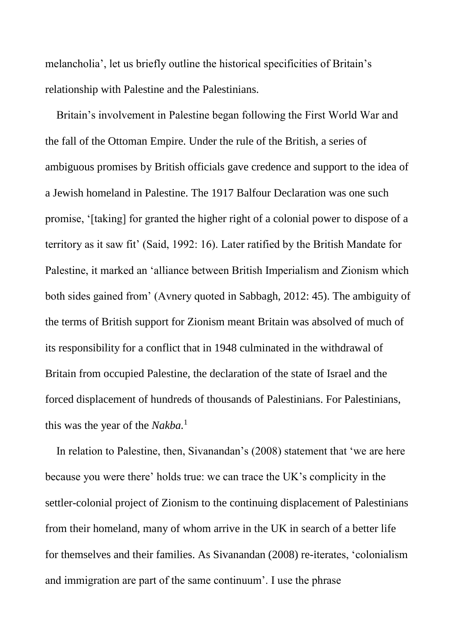melancholia', let us briefly outline the historical specificities of Britain's relationship with Palestine and the Palestinians.

Britain's involvement in Palestine began following the First World War and the fall of the Ottoman Empire. Under the rule of the British, a series of ambiguous promises by British officials gave credence and support to the idea of a Jewish homeland in Palestine. The 1917 Balfour Declaration was one such promise, '[taking] for granted the higher right of a colonial power to dispose of a territory as it saw fit' (Said, 1992: 16). Later ratified by the British Mandate for Palestine, it marked an 'alliance between British Imperialism and Zionism which both sides gained from' (Avnery quoted in Sabbagh, 2012: 45). The ambiguity of the terms of British support for Zionism meant Britain was absolved of much of its responsibility for a conflict that in 1948 culminated in the withdrawal of Britain from occupied Palestine, the declaration of the state of Israel and the forced displacement of hundreds of thousands of Palestinians. For Palestinians, this was the year of the *Nakba.*<sup>1</sup>

In relation to Palestine, then, Sivanandan's (2008) statement that 'we are here because you were there' holds true: we can trace the UK's complicity in the settler-colonial project of Zionism to the continuing displacement of Palestinians from their homeland, many of whom arrive in the UK in search of a better life for themselves and their families. As Sivanandan (2008) re-iterates, 'colonialism and immigration are part of the same continuum'. I use the phrase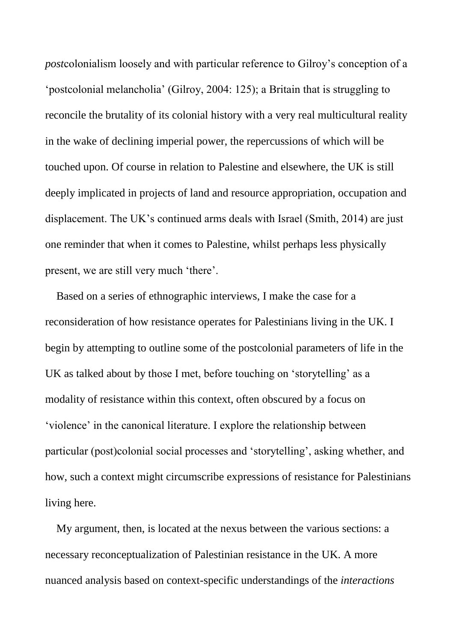*post*colonialism loosely and with particular reference to Gilroy's conception of a 'postcolonial melancholia' (Gilroy, 2004: 125); a Britain that is struggling to reconcile the brutality of its colonial history with a very real multicultural reality in the wake of declining imperial power, the repercussions of which will be touched upon. Of course in relation to Palestine and elsewhere, the UK is still deeply implicated in projects of land and resource appropriation, occupation and displacement. The UK's continued arms deals with Israel (Smith, 2014) are just one reminder that when it comes to Palestine, whilst perhaps less physically present, we are still very much 'there'.

Based on a series of ethnographic interviews, I make the case for a reconsideration of how resistance operates for Palestinians living in the UK. I begin by attempting to outline some of the postcolonial parameters of life in the UK as talked about by those I met, before touching on 'storytelling' as a modality of resistance within this context, often obscured by a focus on 'violence' in the canonical literature. I explore the relationship between particular (post)colonial social processes and 'storytelling', asking whether, and how, such a context might circumscribe expressions of resistance for Palestinians living here.

My argument, then, is located at the nexus between the various sections: a necessary reconceptualization of Palestinian resistance in the UK. A more nuanced analysis based on context-specific understandings of the *interactions*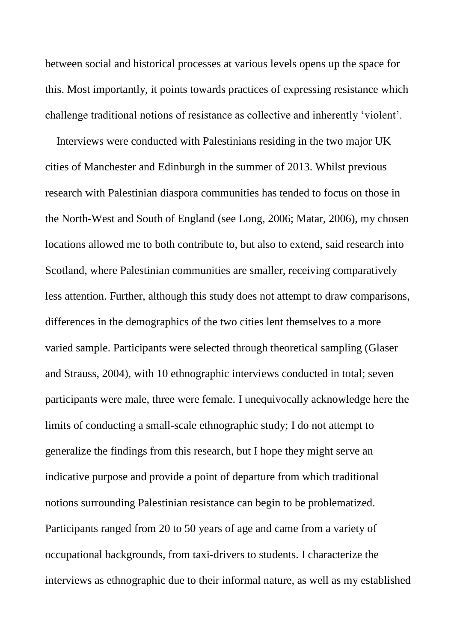between social and historical processes at various levels opens up the space for this. Most importantly, it points towards practices of expressing resistance which challenge traditional notions of resistance as collective and inherently 'violent'.

Interviews were conducted with Palestinians residing in the two major UK cities of Manchester and Edinburgh in the summer of 2013. Whilst previous research with Palestinian diaspora communities has tended to focus on those in the North-West and South of England (see Long, 2006; Matar, 2006), my chosen locations allowed me to both contribute to, but also to extend, said research into Scotland, where Palestinian communities are smaller, receiving comparatively less attention. Further, although this study does not attempt to draw comparisons, differences in the demographics of the two cities lent themselves to a more varied sample. Participants were selected through theoretical sampling (Glaser and Strauss, 2004), with 10 ethnographic interviews conducted in total; seven participants were male, three were female. I unequivocally acknowledge here the limits of conducting a small-scale ethnographic study; I do not attempt to generalize the findings from this research, but I hope they might serve an indicative purpose and provide a point of departure from which traditional notions surrounding Palestinian resistance can begin to be problematized. Participants ranged from 20 to 50 years of age and came from a variety of occupational backgrounds, from taxi-drivers to students. I characterize the interviews as ethnographic due to their informal nature, as well as my established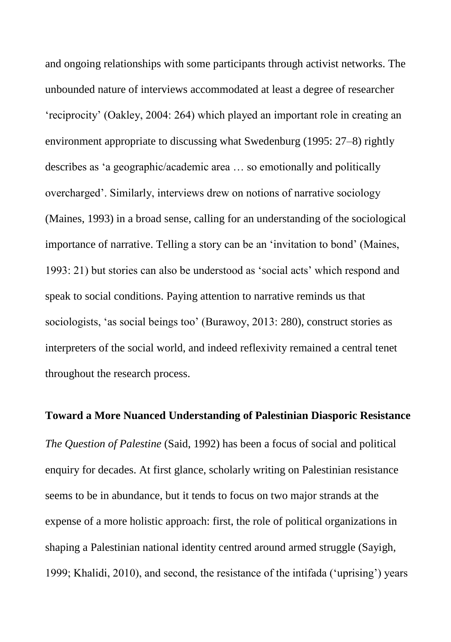and ongoing relationships with some participants through activist networks. The unbounded nature of interviews accommodated at least a degree of researcher 'reciprocity' (Oakley, 2004: 264) which played an important role in creating an environment appropriate to discussing what Swedenburg (1995: 27–8) rightly describes as 'a geographic/academic area … so emotionally and politically overcharged'. Similarly, interviews drew on notions of narrative sociology (Maines, 1993) in a broad sense, calling for an understanding of the sociological importance of narrative. Telling a story can be an 'invitation to bond' (Maines, 1993: 21) but stories can also be understood as 'social acts' which respond and speak to social conditions. Paying attention to narrative reminds us that sociologists, 'as social beings too' (Burawoy, 2013: 280), construct stories as interpreters of the social world, and indeed reflexivity remained a central tenet throughout the research process.

# **Toward a More Nuanced Understanding of Palestinian Diasporic Resistance**

*The Question of Palestine* (Said, 1992) has been a focus of social and political enquiry for decades. At first glance, scholarly writing on Palestinian resistance seems to be in abundance, but it tends to focus on two major strands at the expense of a more holistic approach: first, the role of political organizations in shaping a Palestinian national identity centred around armed struggle (Sayigh, 1999; Khalidi, 2010), and second, the resistance of the intifada ('uprising') years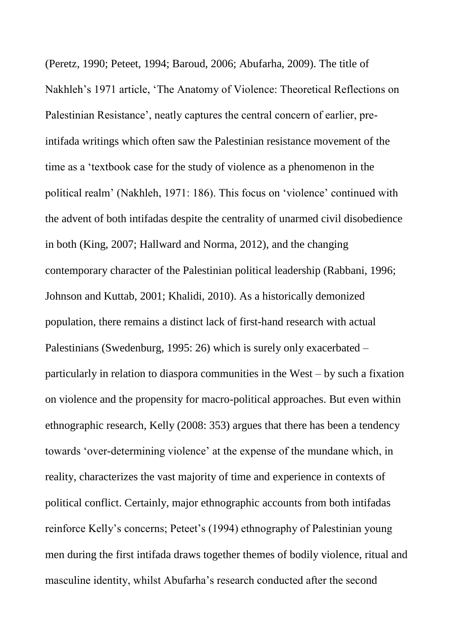(Peretz, 1990; Peteet, 1994; Baroud, 2006; Abufarha, 2009). The title of Nakhleh's 1971 article, 'The Anatomy of Violence: Theoretical Reflections on Palestinian Resistance', neatly captures the central concern of earlier, preintifada writings which often saw the Palestinian resistance movement of the time as a 'textbook case for the study of violence as a phenomenon in the political realm' (Nakhleh, 1971: 186). This focus on 'violence' continued with the advent of both intifadas despite the centrality of unarmed civil disobedience in both (King, 2007; Hallward and Norma, 2012), and the changing contemporary character of the Palestinian political leadership (Rabbani, 1996; Johnson and Kuttab, 2001; Khalidi, 2010). As a historically demonized population, there remains a distinct lack of first-hand research with actual Palestinians (Swedenburg, 1995: 26) which is surely only exacerbated – particularly in relation to diaspora communities in the West – by such a fixation on violence and the propensity for macro-political approaches. But even within ethnographic research, Kelly (2008: 353) argues that there has been a tendency towards 'over-determining violence' at the expense of the mundane which, in reality, characterizes the vast majority of time and experience in contexts of political conflict. Certainly, major ethnographic accounts from both intifadas reinforce Kelly's concerns; Peteet's (1994) ethnography of Palestinian young men during the first intifada draws together themes of bodily violence, ritual and masculine identity, whilst Abufarha's research conducted after the second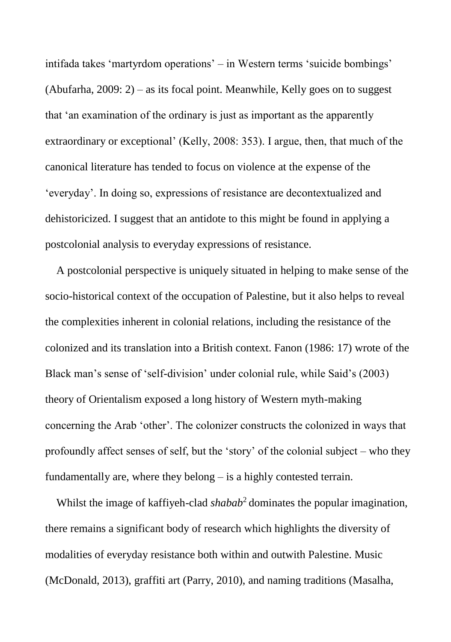intifada takes 'martyrdom operations' – in Western terms 'suicide bombings' (Abufarha, 2009: 2) – as its focal point. Meanwhile, Kelly goes on to suggest that 'an examination of the ordinary is just as important as the apparently extraordinary or exceptional' (Kelly, 2008: 353). I argue, then, that much of the canonical literature has tended to focus on violence at the expense of the 'everyday'. In doing so, expressions of resistance are decontextualized and dehistoricized. I suggest that an antidote to this might be found in applying a postcolonial analysis to everyday expressions of resistance.

A postcolonial perspective is uniquely situated in helping to make sense of the socio-historical context of the occupation of Palestine, but it also helps to reveal the complexities inherent in colonial relations, including the resistance of the colonized and its translation into a British context. Fanon (1986: 17) wrote of the Black man's sense of 'self-division' under colonial rule, while Said's (2003) theory of Orientalism exposed a long history of Western myth-making concerning the Arab 'other'. The colonizer constructs the colonized in ways that profoundly affect senses of self, but the 'story' of the colonial subject – who they fundamentally are, where they belong – is a highly contested terrain.

Whilst the image of kaffiyeh-clad *shabab*<sup>2</sup> dominates the popular imagination, there remains a significant body of research which highlights the diversity of modalities of everyday resistance both within and outwith Palestine. Music (McDonald, 2013), graffiti art (Parry, 2010), and naming traditions (Masalha,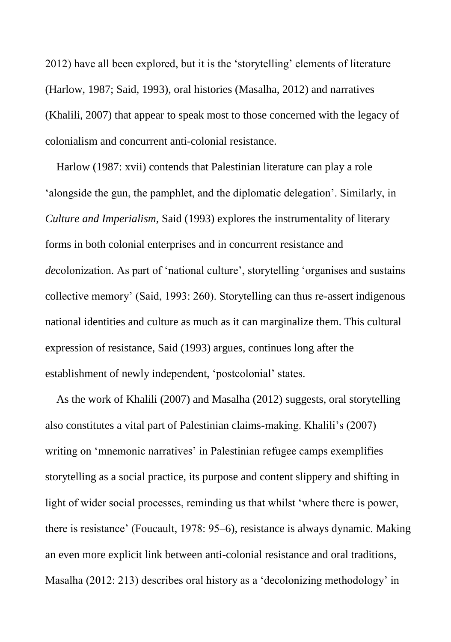2012) have all been explored, but it is the 'storytelling' elements of literature (Harlow, 1987; Said, 1993), oral histories (Masalha, 2012) and narratives (Khalili, 2007) that appear to speak most to those concerned with the legacy of colonialism and concurrent anti-colonial resistance.

Harlow (1987: xvii) contends that Palestinian literature can play a role 'alongside the gun, the pamphlet, and the diplomatic delegation'. Similarly, in *Culture and Imperialism,* Said (1993) explores the instrumentality of literary forms in both colonial enterprises and in concurrent resistance and *de*colonization. As part of 'national culture', storytelling 'organises and sustains collective memory' (Said, 1993: 260). Storytelling can thus re-assert indigenous national identities and culture as much as it can marginalize them. This cultural expression of resistance, Said (1993) argues, continues long after the establishment of newly independent, 'postcolonial' states.

As the work of Khalili (2007) and Masalha (2012) suggests, oral storytelling also constitutes a vital part of Palestinian claims-making. Khalili's (2007) writing on 'mnemonic narratives' in Palestinian refugee camps exemplifies storytelling as a social practice, its purpose and content slippery and shifting in light of wider social processes, reminding us that whilst 'where there is power, there is resistance' (Foucault, 1978: 95–6), resistance is always dynamic. Making an even more explicit link between anti-colonial resistance and oral traditions, Masalha (2012: 213) describes oral history as a 'decolonizing methodology' in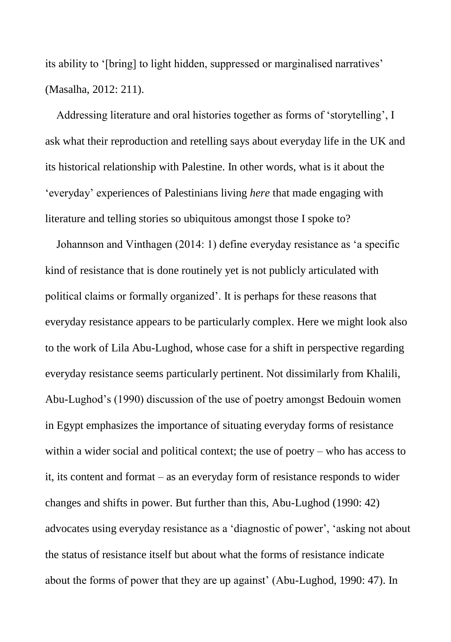its ability to '[bring] to light hidden, suppressed or marginalised narratives' (Masalha, 2012: 211).

Addressing literature and oral histories together as forms of 'storytelling', I ask what their reproduction and retelling says about everyday life in the UK and its historical relationship with Palestine. In other words, what is it about the 'everyday' experiences of Palestinians living *here* that made engaging with literature and telling stories so ubiquitous amongst those I spoke to?

Johannson and Vinthagen (2014: 1) define everyday resistance as 'a specific kind of resistance that is done routinely yet is not publicly articulated with political claims or formally organized'. It is perhaps for these reasons that everyday resistance appears to be particularly complex. Here we might look also to the work of Lila Abu-Lughod, whose case for a shift in perspective regarding everyday resistance seems particularly pertinent. Not dissimilarly from Khalili, Abu-Lughod's (1990) discussion of the use of poetry amongst Bedouin women in Egypt emphasizes the importance of situating everyday forms of resistance within a wider social and political context; the use of poetry – who has access to it, its content and format – as an everyday form of resistance responds to wider changes and shifts in power. But further than this, Abu-Lughod (1990: 42) advocates using everyday resistance as a 'diagnostic of power', 'asking not about the status of resistance itself but about what the forms of resistance indicate about the forms of power that they are up against' (Abu-Lughod, 1990: 47). In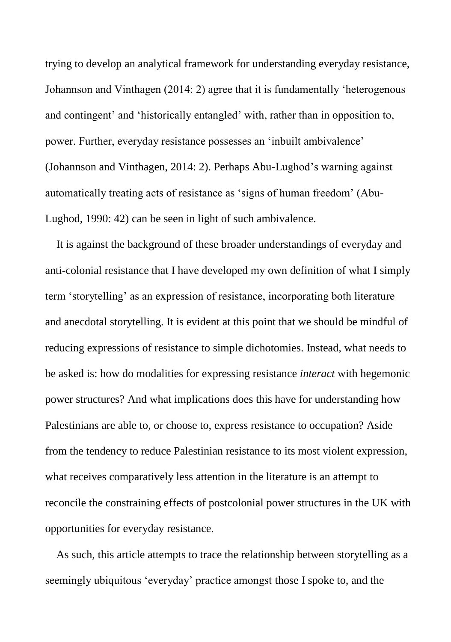trying to develop an analytical framework for understanding everyday resistance, Johannson and Vinthagen (2014: 2) agree that it is fundamentally 'heterogenous and contingent' and 'historically entangled' with, rather than in opposition to, power. Further, everyday resistance possesses an 'inbuilt ambivalence' (Johannson and Vinthagen, 2014: 2). Perhaps Abu-Lughod's warning against automatically treating acts of resistance as 'signs of human freedom' (Abu-Lughod, 1990: 42) can be seen in light of such ambivalence.

It is against the background of these broader understandings of everyday and anti-colonial resistance that I have developed my own definition of what I simply term 'storytelling' as an expression of resistance, incorporating both literature and anecdotal storytelling. It is evident at this point that we should be mindful of reducing expressions of resistance to simple dichotomies. Instead, what needs to be asked is: how do modalities for expressing resistance *interact* with hegemonic power structures? And what implications does this have for understanding how Palestinians are able to, or choose to, express resistance to occupation? Aside from the tendency to reduce Palestinian resistance to its most violent expression, what receives comparatively less attention in the literature is an attempt to reconcile the constraining effects of postcolonial power structures in the UK with opportunities for everyday resistance.

As such, this article attempts to trace the relationship between storytelling as a seemingly ubiquitous 'everyday' practice amongst those I spoke to, and the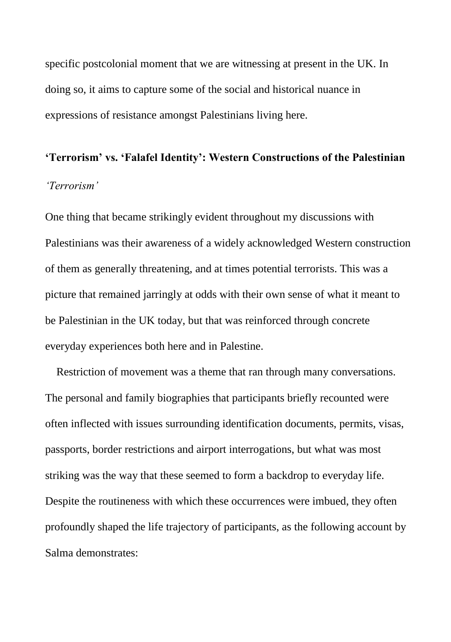specific postcolonial moment that we are witnessing at present in the UK. In doing so, it aims to capture some of the social and historical nuance in expressions of resistance amongst Palestinians living here.

# **'Terrorism' vs. 'Falafel Identity': Western Constructions of the Palestinian** *'Terrorism'*

One thing that became strikingly evident throughout my discussions with Palestinians was their awareness of a widely acknowledged Western construction of them as generally threatening, and at times potential terrorists. This was a picture that remained jarringly at odds with their own sense of what it meant to be Palestinian in the UK today, but that was reinforced through concrete everyday experiences both here and in Palestine.

Restriction of movement was a theme that ran through many conversations. The personal and family biographies that participants briefly recounted were often inflected with issues surrounding identification documents, permits, visas, passports, border restrictions and airport interrogations, but what was most striking was the way that these seemed to form a backdrop to everyday life. Despite the routineness with which these occurrences were imbued, they often profoundly shaped the life trajectory of participants, as the following account by Salma demonstrates: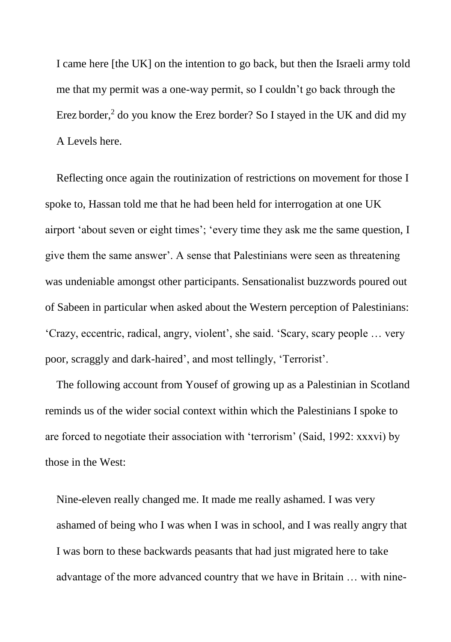I came here [the UK] on the intention to go back, but then the Israeli army told me that my permit was a one-way permit, so I couldn't go back through the Erez border,<sup>2</sup> do you know the Erez border? So I stayed in the UK and did my A Levels here.

Reflecting once again the routinization of restrictions on movement for those I spoke to, Hassan told me that he had been held for interrogation at one UK airport 'about seven or eight times'; 'every time they ask me the same question, I give them the same answer'. A sense that Palestinians were seen as threatening was undeniable amongst other participants. Sensationalist buzzwords poured out of Sabeen in particular when asked about the Western perception of Palestinians: 'Crazy, eccentric, radical, angry, violent', she said. 'Scary, scary people … very poor, scraggly and dark-haired', and most tellingly, 'Terrorist'.

The following account from Yousef of growing up as a Palestinian in Scotland reminds us of the wider social context within which the Palestinians I spoke to are forced to negotiate their association with 'terrorism' (Said, 1992: xxxvi) by those in the West:

Nine-eleven really changed me. It made me really ashamed. I was very ashamed of being who I was when I was in school, and I was really angry that I was born to these backwards peasants that had just migrated here to take advantage of the more advanced country that we have in Britain … with nine-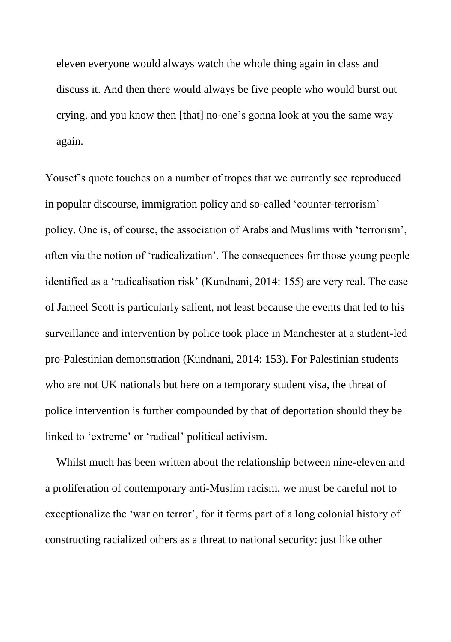eleven everyone would always watch the whole thing again in class and discuss it. And then there would always be five people who would burst out crying, and you know then [that] no-one's gonna look at you the same way again.

Yousef's quote touches on a number of tropes that we currently see reproduced in popular discourse, immigration policy and so-called 'counter-terrorism' policy. One is, of course, the association of Arabs and Muslims with 'terrorism', often via the notion of 'radicalization'. The consequences for those young people identified as a 'radicalisation risk' (Kundnani, 2014: 155) are very real. The case of Jameel Scott is particularly salient, not least because the events that led to his surveillance and intervention by police took place in Manchester at a student-led pro-Palestinian demonstration (Kundnani, 2014: 153). For Palestinian students who are not UK nationals but here on a temporary student visa, the threat of police intervention is further compounded by that of deportation should they be linked to 'extreme' or 'radical' political activism.

Whilst much has been written about the relationship between nine-eleven and a proliferation of contemporary anti-Muslim racism, we must be careful not to exceptionalize the 'war on terror', for it forms part of a long colonial history of constructing racialized others as a threat to national security: just like other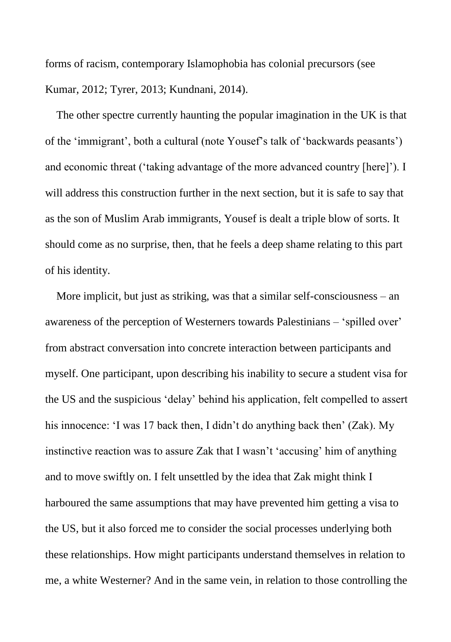forms of racism, contemporary Islamophobia has colonial precursors (see Kumar, 2012; Tyrer, 2013; Kundnani, 2014).

The other spectre currently haunting the popular imagination in the UK is that of the 'immigrant', both a cultural (note Yousef's talk of 'backwards peasants') and economic threat ('taking advantage of the more advanced country [here]'). I will address this construction further in the next section, but it is safe to say that as the son of Muslim Arab immigrants, Yousef is dealt a triple blow of sorts. It should come as no surprise, then, that he feels a deep shame relating to this part of his identity.

More implicit, but just as striking, was that a similar self-consciousness – an awareness of the perception of Westerners towards Palestinians – 'spilled over' from abstract conversation into concrete interaction between participants and myself. One participant, upon describing his inability to secure a student visa for the US and the suspicious 'delay' behind his application, felt compelled to assert his innocence: 'I was 17 back then, I didn't do anything back then' (Zak). My instinctive reaction was to assure Zak that I wasn't 'accusing' him of anything and to move swiftly on. I felt unsettled by the idea that Zak might think I harboured the same assumptions that may have prevented him getting a visa to the US, but it also forced me to consider the social processes underlying both these relationships. How might participants understand themselves in relation to me, a white Westerner? And in the same vein, in relation to those controlling the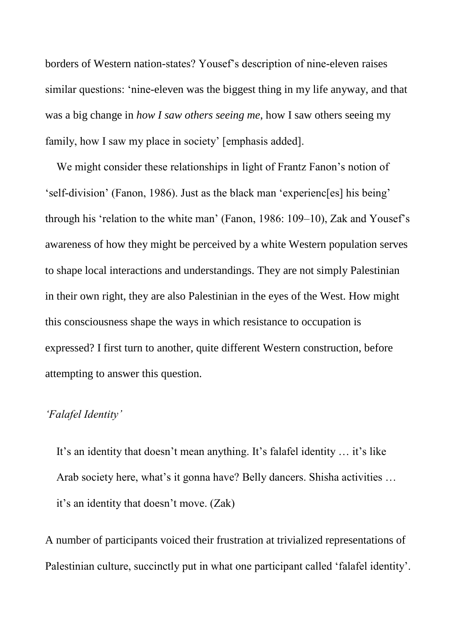borders of Western nation-states? Yousef's description of nine-eleven raises similar questions: 'nine-eleven was the biggest thing in my life anyway, and that was a big change in *how I saw others seeing me*, how I saw others seeing my family, how I saw my place in society' [emphasis added].

We might consider these relationships in light of Frantz Fanon's notion of 'self-division' (Fanon, 1986). Just as the black man 'experienc[es] his being' through his 'relation to the white man' (Fanon, 1986: 109–10), Zak and Yousef's awareness of how they might be perceived by a white Western population serves to shape local interactions and understandings. They are not simply Palestinian in their own right, they are also Palestinian in the eyes of the West. How might this consciousness shape the ways in which resistance to occupation is expressed? I first turn to another, quite different Western construction, before attempting to answer this question.

## *'Falafel Identity'*

It's an identity that doesn't mean anything. It's falafel identity … it's like Arab society here, what's it gonna have? Belly dancers. Shisha activities … it's an identity that doesn't move. (Zak)

A number of participants voiced their frustration at trivialized representations of Palestinian culture, succinctly put in what one participant called 'falafel identity'.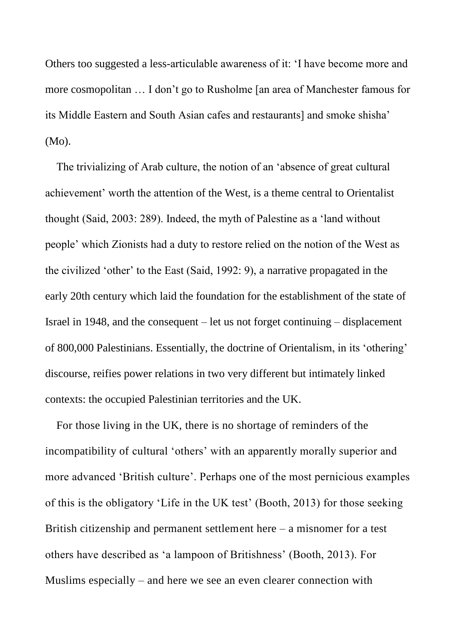Others too suggested a less-articulable awareness of it: 'I have become more and more cosmopolitan … I don't go to Rusholme [an area of Manchester famous for its Middle Eastern and South Asian cafes and restaurants] and smoke shisha' (Mo).

The trivializing of Arab culture, the notion of an 'absence of great cultural achievement' worth the attention of the West, is a theme central to Orientalist thought (Said, 2003: 289). Indeed, the myth of Palestine as a 'land without people' which Zionists had a duty to restore relied on the notion of the West as the civilized 'other' to the East (Said, 1992: 9), a narrative propagated in the early 20th century which laid the foundation for the establishment of the state of Israel in 1948, and the consequent – let us not forget continuing – displacement of 800,000 Palestinians. Essentially, the doctrine of Orientalism, in its 'othering' discourse, reifies power relations in two very different but intimately linked contexts: the occupied Palestinian territories and the UK.

For those living in the UK, there is no shortage of reminders of the incompatibility of cultural 'others' with an apparently morally superior and more advanced 'British culture'. Perhaps one of the most pernicious examples of this is the obligatory 'Life in the UK test' (Booth, 2013) for those seeking British citizenship and permanent settlement here – a misnomer for a test others have described as 'a lampoon of Britishness' (Booth, 2013). For Muslims especially – and here we see an even clearer connection with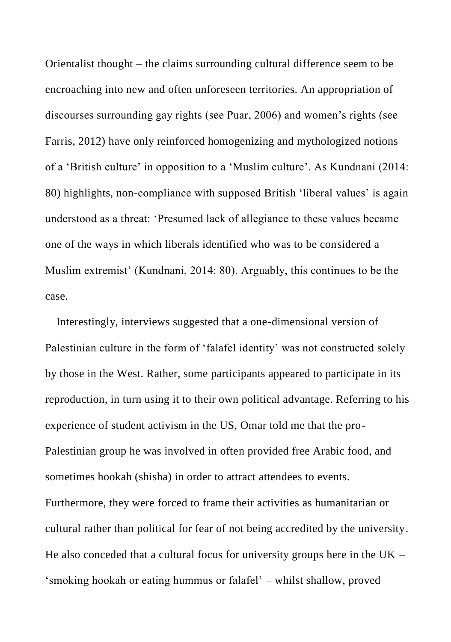Orientalist thought – the claims surrounding cultural difference seem to be encroaching into new and often unforeseen territories. An appropriation of discourses surrounding gay rights (see Puar, 2006) and women's rights (see Farris, 2012) have only reinforced homogenizing and mythologized notions of a 'British culture' in opposition to a 'Muslim culture'. As Kundnani (2014: 80) highlights, non-compliance with supposed British 'liberal values' is again understood as a threat: 'Presumed lack of allegiance to these values became one of the ways in which liberals identified who was to be considered a Muslim extremist' (Kundnani, 2014: 80). Arguably, this continues to be the case.

Interestingly, interviews suggested that a one-dimensional version of Palestinian culture in the form of 'falafel identity' was not constructed solely by those in the West. Rather, some participants appeared to participate in its reproduction, in turn using it to their own political advantage. Referring to his experience of student activism in the US, Omar told me that the pro-Palestinian group he was involved in often provided free Arabic food, and sometimes hookah (shisha) in order to attract attendees to events. Furthermore, they were forced to frame their activities as humanitarian or cultural rather than political for fear of not being accredited by the university. He also conceded that a cultural focus for university groups here in the  $UK -$ 'smoking hookah or eating hummus or falafel' – whilst shallow, proved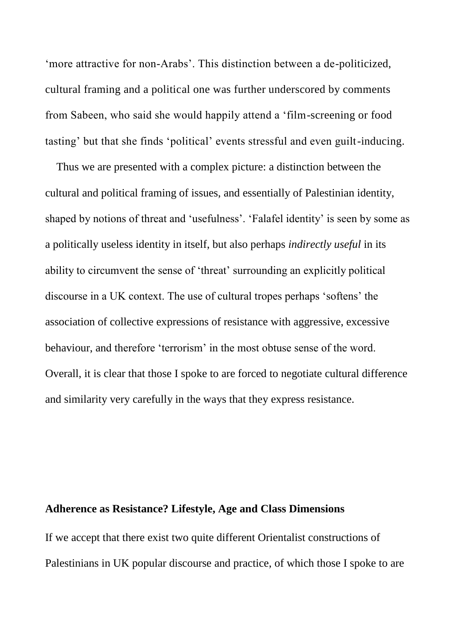'more attractive for non-Arabs'. This distinction between a de-politicized, cultural framing and a political one was further underscored by comments from Sabeen, who said she would happily attend a 'film-screening or food tasting' but that she finds 'political' events stressful and even guilt-inducing.

Thus we are presented with a complex picture: a distinction between the cultural and political framing of issues, and essentially of Palestinian identity, shaped by notions of threat and 'usefulness'. 'Falafel identity' is seen by some as a politically useless identity in itself, but also perhaps *indirectly useful* in its ability to circumvent the sense of 'threat' surrounding an explicitly political discourse in a UK context. The use of cultural tropes perhaps 'softens' the association of collective expressions of resistance with aggressive, excessive behaviour, and therefore 'terrorism' in the most obtuse sense of the word. Overall, it is clear that those I spoke to are forced to negotiate cultural difference and similarity very carefully in the ways that they express resistance.

#### **Adherence as Resistance? Lifestyle, Age and Class Dimensions**

If we accept that there exist two quite different Orientalist constructions of Palestinians in UK popular discourse and practice, of which those I spoke to are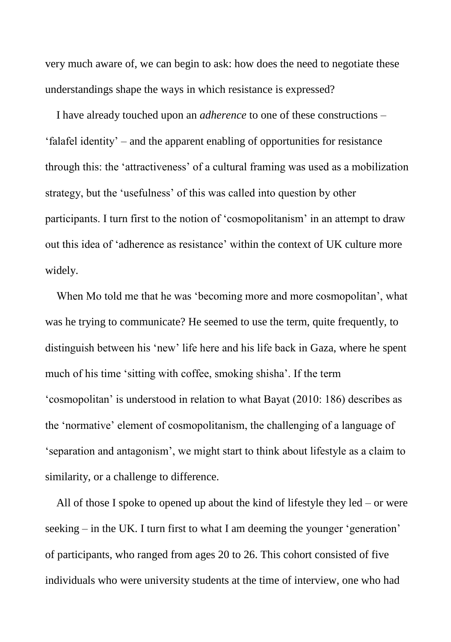very much aware of, we can begin to ask: how does the need to negotiate these understandings shape the ways in which resistance is expressed?

I have already touched upon an *adherence* to one of these constructions – 'falafel identity' – and the apparent enabling of opportunities for resistance through this: the 'attractiveness' of a cultural framing was used as a mobilization strategy, but the 'usefulness' of this was called into question by other participants. I turn first to the notion of 'cosmopolitanism' in an attempt to draw out this idea of 'adherence as resistance' within the context of UK culture more widely.

When Mo told me that he was 'becoming more and more cosmopolitan', what was he trying to communicate? He seemed to use the term, quite frequently, to distinguish between his 'new' life here and his life back in Gaza, where he spent much of his time 'sitting with coffee, smoking shisha'. If the term 'cosmopolitan' is understood in relation to what Bayat (2010: 186) describes as the 'normative' element of cosmopolitanism, the challenging of a language of 'separation and antagonism', we might start to think about lifestyle as a claim to similarity, or a challenge to difference.

All of those I spoke to opened up about the kind of lifestyle they  $led - or were$ seeking – in the UK. I turn first to what I am deeming the younger 'generation' of participants, who ranged from ages 20 to 26. This cohort consisted of five individuals who were university students at the time of interview, one who had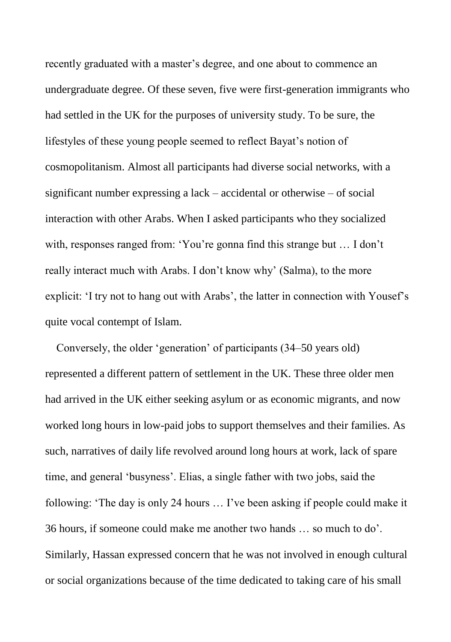recently graduated with a master's degree, and one about to commence an undergraduate degree. Of these seven, five were first-generation immigrants who had settled in the UK for the purposes of university study. To be sure, the lifestyles of these young people seemed to reflect Bayat's notion of cosmopolitanism. Almost all participants had diverse social networks, with a significant number expressing a lack – accidental or otherwise – of social interaction with other Arabs. When I asked participants who they socialized with, responses ranged from: 'You're gonna find this strange but … I don't really interact much with Arabs. I don't know why' (Salma), to the more explicit: 'I try not to hang out with Arabs', the latter in connection with Yousef's quite vocal contempt of Islam.

Conversely, the older 'generation' of participants (34–50 years old) represented a different pattern of settlement in the UK. These three older men had arrived in the UK either seeking asylum or as economic migrants, and now worked long hours in low-paid jobs to support themselves and their families. As such, narratives of daily life revolved around long hours at work, lack of spare time, and general 'busyness'. Elias, a single father with two jobs, said the following: 'The day is only 24 hours … I've been asking if people could make it 36 hours, if someone could make me another two hands … so much to do'. Similarly, Hassan expressed concern that he was not involved in enough cultural or social organizations because of the time dedicated to taking care of his small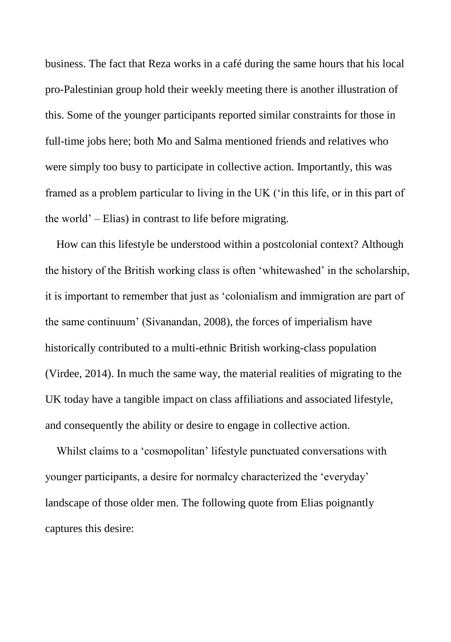business. The fact that Reza works in a café during the same hours that his local pro-Palestinian group hold their weekly meeting there is another illustration of this. Some of the younger participants reported similar constraints for those in full-time jobs here; both Mo and Salma mentioned friends and relatives who were simply too busy to participate in collective action. Importantly, this was framed as a problem particular to living in the UK ('in this life, or in this part of the world' – Elias) in contrast to life before migrating.

How can this lifestyle be understood within a postcolonial context? Although the history of the British working class is often 'whitewashed' in the scholarship, it is important to remember that just as 'colonialism and immigration are part of the same continuum' (Sivanandan, 2008), the forces of imperialism have historically contributed to a multi-ethnic British working-class population (Virdee, 2014). In much the same way, the material realities of migrating to the UK today have a tangible impact on class affiliations and associated lifestyle, and consequently the ability or desire to engage in collective action.

Whilst claims to a 'cosmopolitan' lifestyle punctuated conversations with younger participants, a desire for normalcy characterized the 'everyday' landscape of those older men. The following quote from Elias poignantly captures this desire: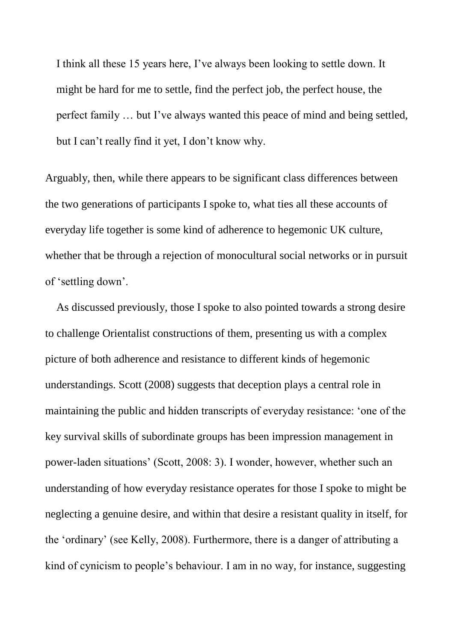I think all these 15 years here, I've always been looking to settle down. It might be hard for me to settle, find the perfect job, the perfect house, the perfect family … but I've always wanted this peace of mind and being settled, but I can't really find it yet, I don't know why.

Arguably, then, while there appears to be significant class differences between the two generations of participants I spoke to, what ties all these accounts of everyday life together is some kind of adherence to hegemonic UK culture, whether that be through a rejection of monocultural social networks or in pursuit of 'settling down'.

As discussed previously, those I spoke to also pointed towards a strong desire to challenge Orientalist constructions of them, presenting us with a complex picture of both adherence and resistance to different kinds of hegemonic understandings. Scott (2008) suggests that deception plays a central role in maintaining the public and hidden transcripts of everyday resistance: 'one of the key survival skills of subordinate groups has been impression management in power-laden situations' (Scott, 2008: 3). I wonder, however, whether such an understanding of how everyday resistance operates for those I spoke to might be neglecting a genuine desire, and within that desire a resistant quality in itself, for the 'ordinary' (see Kelly, 2008). Furthermore, there is a danger of attributing a kind of cynicism to people's behaviour. I am in no way, for instance, suggesting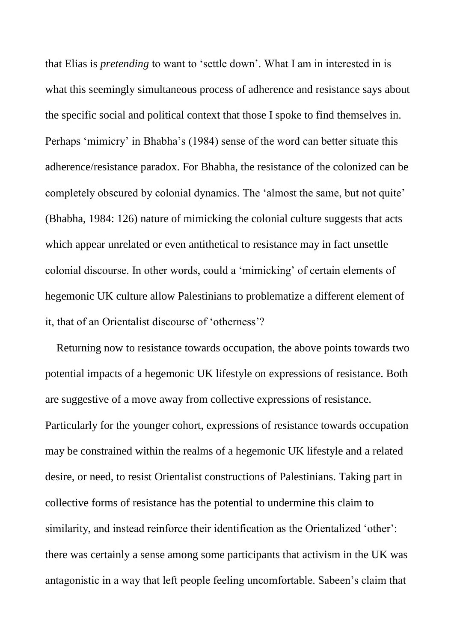that Elias is *pretending* to want to 'settle down'. What I am in interested in is what this seemingly simultaneous process of adherence and resistance says about the specific social and political context that those I spoke to find themselves in. Perhaps 'mimicry' in Bhabha's (1984) sense of the word can better situate this adherence/resistance paradox. For Bhabha, the resistance of the colonized can be completely obscured by colonial dynamics. The 'almost the same, but not quite' (Bhabha, 1984: 126) nature of mimicking the colonial culture suggests that acts which appear unrelated or even antithetical to resistance may in fact unsettle colonial discourse. In other words, could a 'mimicking' of certain elements of hegemonic UK culture allow Palestinians to problematize a different element of it, that of an Orientalist discourse of 'otherness'?

Returning now to resistance towards occupation, the above points towards two potential impacts of a hegemonic UK lifestyle on expressions of resistance. Both are suggestive of a move away from collective expressions of resistance. Particularly for the younger cohort, expressions of resistance towards occupation may be constrained within the realms of a hegemonic UK lifestyle and a related desire, or need, to resist Orientalist constructions of Palestinians. Taking part in collective forms of resistance has the potential to undermine this claim to similarity, and instead reinforce their identification as the Orientalized 'other': there was certainly a sense among some participants that activism in the UK was antagonistic in a way that left people feeling uncomfortable. Sabeen's claim that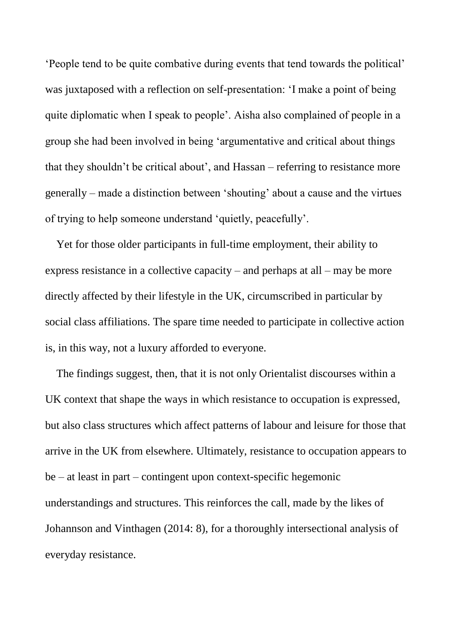'People tend to be quite combative during events that tend towards the political' was juxtaposed with a reflection on self-presentation: 'I make a point of being quite diplomatic when I speak to people'. Aisha also complained of people in a group she had been involved in being 'argumentative and critical about things that they shouldn't be critical about', and Hassan – referring to resistance more generally – made a distinction between 'shouting' about a cause and the virtues of trying to help someone understand 'quietly, peacefully'.

Yet for those older participants in full-time employment, their ability to express resistance in a collective capacity – and perhaps at all – may be more directly affected by their lifestyle in the UK, circumscribed in particular by social class affiliations. The spare time needed to participate in collective action is, in this way, not a luxury afforded to everyone.

The findings suggest, then, that it is not only Orientalist discourses within a UK context that shape the ways in which resistance to occupation is expressed, but also class structures which affect patterns of labour and leisure for those that arrive in the UK from elsewhere. Ultimately, resistance to occupation appears to be – at least in part – contingent upon context-specific hegemonic understandings and structures. This reinforces the call, made by the likes of Johannson and Vinthagen (2014: 8), for a thoroughly intersectional analysis of everyday resistance.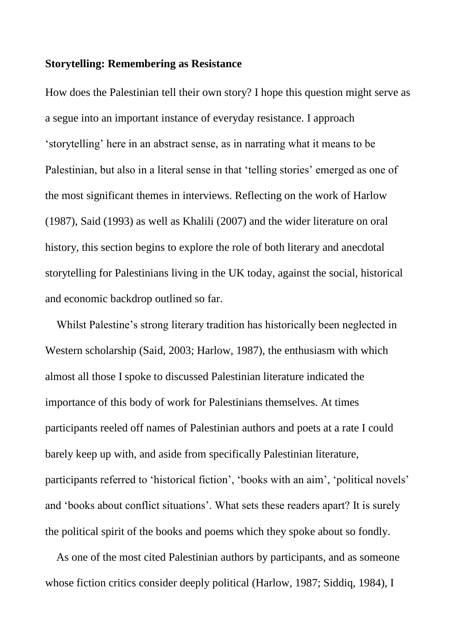### **Storytelling: Remembering as Resistance**

How does the Palestinian tell their own story? I hope this question might serve as a segue into an important instance of everyday resistance. I approach 'storytelling' here in an abstract sense, as in narrating what it means to be Palestinian, but also in a literal sense in that 'telling stories' emerged as one of the most significant themes in interviews. Reflecting on the work of Harlow (1987), Said (1993) as well as Khalili (2007) and the wider literature on oral history, this section begins to explore the role of both literary and anecdotal storytelling for Palestinians living in the UK today, against the social, historical and economic backdrop outlined so far.

Whilst Palestine's strong literary tradition has historically been neglected in Western scholarship (Said, 2003; Harlow, 1987), the enthusiasm with which almost all those I spoke to discussed Palestinian literature indicated the importance of this body of work for Palestinians themselves. At times participants reeled off names of Palestinian authors and poets at a rate I could barely keep up with, and aside from specifically Palestinian literature, participants referred to 'historical fiction', 'books with an aim', 'political novels' and 'books about conflict situations'. What sets these readers apart? It is surely the political spirit of the books and poems which they spoke about so fondly.

As one of the most cited Palestinian authors by participants, and as someone whose fiction critics consider deeply political (Harlow, 1987; Siddiq, 1984), I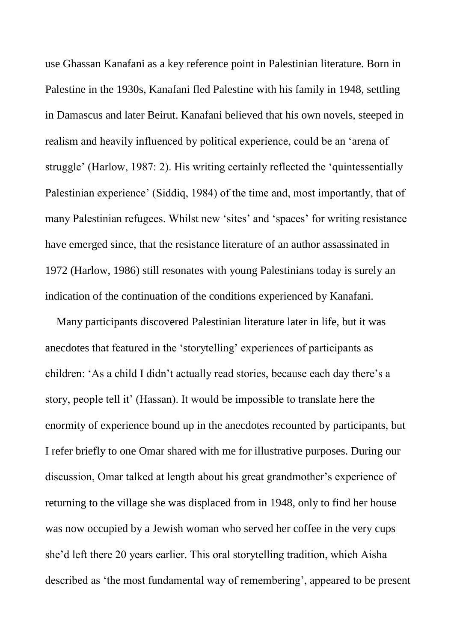use Ghassan Kanafani as a key reference point in Palestinian literature. Born in Palestine in the 1930s, Kanafani fled Palestine with his family in 1948, settling in Damascus and later Beirut. Kanafani believed that his own novels, steeped in realism and heavily influenced by political experience, could be an 'arena of struggle' (Harlow, 1987: 2). His writing certainly reflected the 'quintessentially Palestinian experience' (Siddiq, 1984) of the time and, most importantly, that of many Palestinian refugees. Whilst new 'sites' and 'spaces' for writing resistance have emerged since, that the resistance literature of an author assassinated in 1972 (Harlow, 1986) still resonates with young Palestinians today is surely an indication of the continuation of the conditions experienced by Kanafani.

Many participants discovered Palestinian literature later in life, but it was anecdotes that featured in the 'storytelling' experiences of participants as children: 'As a child I didn't actually read stories, because each day there's a story, people tell it' (Hassan). It would be impossible to translate here the enormity of experience bound up in the anecdotes recounted by participants, but I refer briefly to one Omar shared with me for illustrative purposes. During our discussion, Omar talked at length about his great grandmother's experience of returning to the village she was displaced from in 1948, only to find her house was now occupied by a Jewish woman who served her coffee in the very cups she'd left there 20 years earlier. This oral storytelling tradition, which Aisha described as 'the most fundamental way of remembering', appeared to be present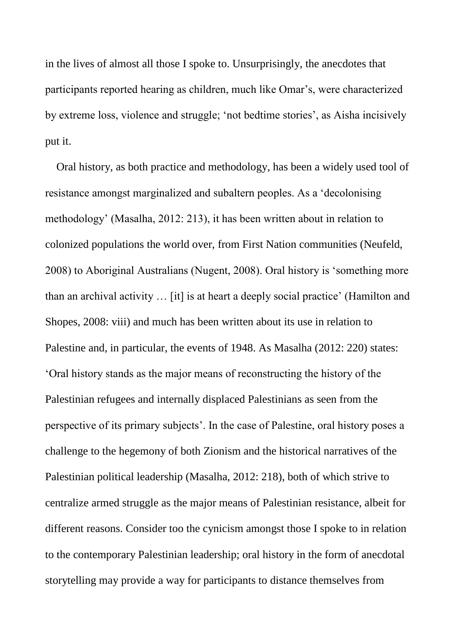in the lives of almost all those I spoke to. Unsurprisingly, the anecdotes that participants reported hearing as children, much like Omar's, were characterized by extreme loss, violence and struggle; 'not bedtime stories', as Aisha incisively put it.

Oral history, as both practice and methodology, has been a widely used tool of resistance amongst marginalized and subaltern peoples. As a 'decolonising methodology' (Masalha, 2012: 213), it has been written about in relation to colonized populations the world over, from First Nation communities (Neufeld, 2008) to Aboriginal Australians (Nugent, 2008). Oral history is 'something more than an archival activity … [it] is at heart a deeply social practice' (Hamilton and Shopes, 2008: viii) and much has been written about its use in relation to Palestine and, in particular, the events of 1948. As Masalha (2012: 220) states: 'Oral history stands as the major means of reconstructing the history of the Palestinian refugees and internally displaced Palestinians as seen from the perspective of its primary subjects'. In the case of Palestine, oral history poses a challenge to the hegemony of both Zionism and the historical narratives of the Palestinian political leadership (Masalha, 2012: 218), both of which strive to centralize armed struggle as the major means of Palestinian resistance, albeit for different reasons. Consider too the cynicism amongst those I spoke to in relation to the contemporary Palestinian leadership; oral history in the form of anecdotal storytelling may provide a way for participants to distance themselves from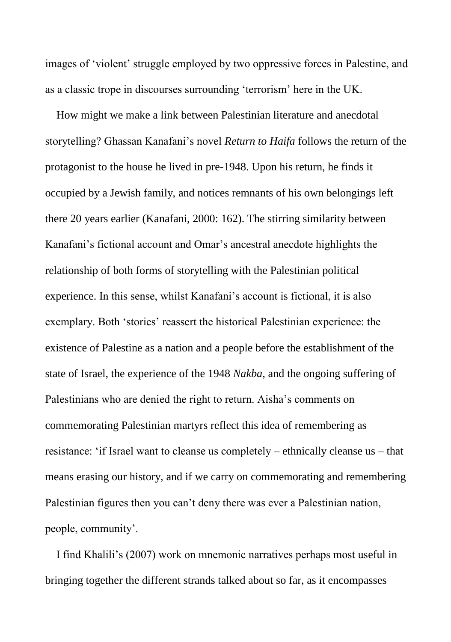images of 'violent' struggle employed by two oppressive forces in Palestine, and as a classic trope in discourses surrounding 'terrorism' here in the UK.

How might we make a link between Palestinian literature and anecdotal storytelling? Ghassan Kanafani's novel *Return to Haifa* follows the return of the protagonist to the house he lived in pre-1948. Upon his return, he finds it occupied by a Jewish family, and notices remnants of his own belongings left there 20 years earlier (Kanafani, 2000: 162). The stirring similarity between Kanafani's fictional account and Omar's ancestral anecdote highlights the relationship of both forms of storytelling with the Palestinian political experience. In this sense, whilst Kanafani's account is fictional, it is also exemplary. Both 'stories' reassert the historical Palestinian experience: the existence of Palestine as a nation and a people before the establishment of the state of Israel, the experience of the 1948 *Nakba*, and the ongoing suffering of Palestinians who are denied the right to return. Aisha's comments on commemorating Palestinian martyrs reflect this idea of remembering as resistance: 'if Israel want to cleanse us completely – ethnically cleanse us – that means erasing our history, and if we carry on commemorating and remembering Palestinian figures then you can't deny there was ever a Palestinian nation, people, community'.

I find Khalili's (2007) work on mnemonic narratives perhaps most useful in bringing together the different strands talked about so far, as it encompasses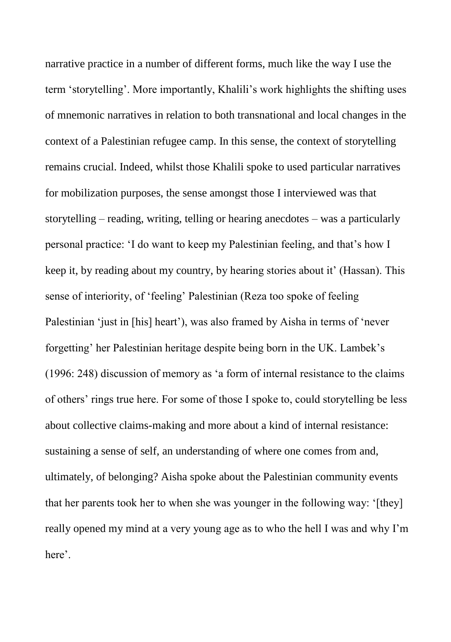narrative practice in a number of different forms, much like the way I use the term 'storytelling'. More importantly, Khalili's work highlights the shifting uses of mnemonic narratives in relation to both transnational and local changes in the context of a Palestinian refugee camp. In this sense, the context of storytelling remains crucial. Indeed, whilst those Khalili spoke to used particular narratives for mobilization purposes, the sense amongst those I interviewed was that storytelling – reading, writing, telling or hearing anecdotes – was a particularly personal practice: 'I do want to keep my Palestinian feeling, and that's how I keep it, by reading about my country, by hearing stories about it' (Hassan). This sense of interiority, of 'feeling' Palestinian (Reza too spoke of feeling Palestinian 'just in [his] heart'), was also framed by Aisha in terms of 'never forgetting' her Palestinian heritage despite being born in the UK. Lambek's (1996: 248) discussion of memory as 'a form of internal resistance to the claims of others' rings true here. For some of those I spoke to, could storytelling be less about collective claims-making and more about a kind of internal resistance: sustaining a sense of self, an understanding of where one comes from and, ultimately, of belonging? Aisha spoke about the Palestinian community events that her parents took her to when she was younger in the following way: '[they] really opened my mind at a very young age as to who the hell I was and why I'm here'.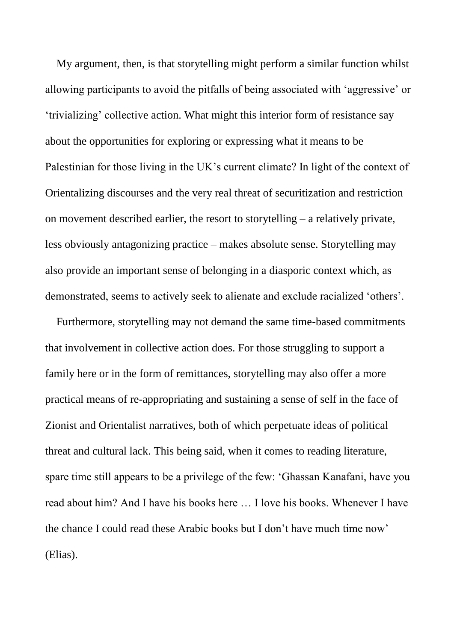My argument, then, is that storytelling might perform a similar function whilst allowing participants to avoid the pitfalls of being associated with 'aggressive' or 'trivializing' collective action. What might this interior form of resistance say about the opportunities for exploring or expressing what it means to be Palestinian for those living in the UK's current climate? In light of the context of Orientalizing discourses and the very real threat of securitization and restriction on movement described earlier, the resort to storytelling – a relatively private, less obviously antagonizing practice – makes absolute sense. Storytelling may also provide an important sense of belonging in a diasporic context which, as demonstrated, seems to actively seek to alienate and exclude racialized 'others'.

Furthermore, storytelling may not demand the same time-based commitments that involvement in collective action does. For those struggling to support a family here or in the form of remittances, storytelling may also offer a more practical means of re-appropriating and sustaining a sense of self in the face of Zionist and Orientalist narratives, both of which perpetuate ideas of political threat and cultural lack. This being said, when it comes to reading literature, spare time still appears to be a privilege of the few: 'Ghassan Kanafani, have you read about him? And I have his books here … I love his books. Whenever I have the chance I could read these Arabic books but I don't have much time now' (Elias).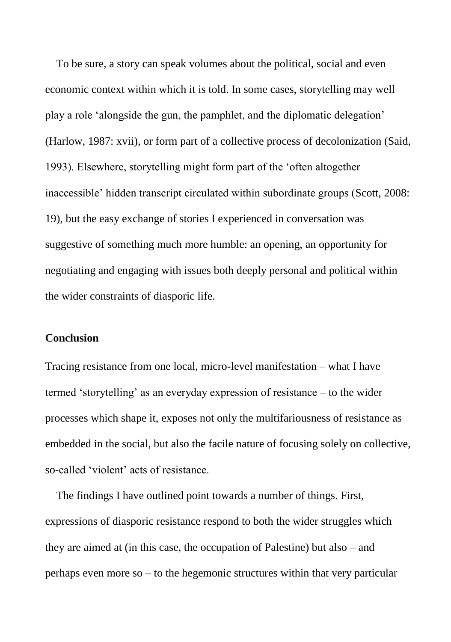To be sure, a story can speak volumes about the political, social and even economic context within which it is told. In some cases, storytelling may well play a role 'alongside the gun, the pamphlet, and the diplomatic delegation' (Harlow, 1987: xvii), or form part of a collective process of decolonization (Said, 1993). Elsewhere, storytelling might form part of the 'often altogether inaccessible' hidden transcript circulated within subordinate groups (Scott, 2008: 19), but the easy exchange of stories I experienced in conversation was suggestive of something much more humble: an opening, an opportunity for negotiating and engaging with issues both deeply personal and political within the wider constraints of diasporic life.

#### **Conclusion**

Tracing resistance from one local, micro-level manifestation – what I have termed 'storytelling' as an everyday expression of resistance – to the wider processes which shape it, exposes not only the multifariousness of resistance as embedded in the social, but also the facile nature of focusing solely on collective, so-called 'violent' acts of resistance.

The findings I have outlined point towards a number of things. First, expressions of diasporic resistance respond to both the wider struggles which they are aimed at (in this case, the occupation of Palestine) but also – and perhaps even more so – to the hegemonic structures within that very particular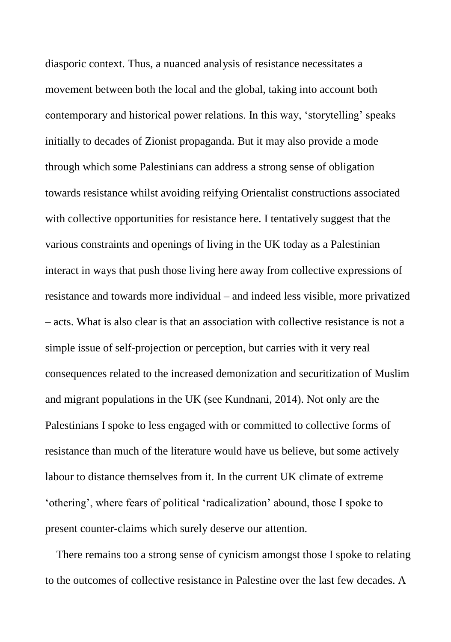diasporic context. Thus, a nuanced analysis of resistance necessitates a movement between both the local and the global, taking into account both contemporary and historical power relations. In this way, 'storytelling' speaks initially to decades of Zionist propaganda. But it may also provide a mode through which some Palestinians can address a strong sense of obligation towards resistance whilst avoiding reifying Orientalist constructions associated with collective opportunities for resistance here. I tentatively suggest that the various constraints and openings of living in the UK today as a Palestinian interact in ways that push those living here away from collective expressions of resistance and towards more individual – and indeed less visible, more privatized – acts. What is also clear is that an association with collective resistance is not a simple issue of self-projection or perception, but carries with it very real consequences related to the increased demonization and securitization of Muslim and migrant populations in the UK (see Kundnani, 2014). Not only are the Palestinians I spoke to less engaged with or committed to collective forms of resistance than much of the literature would have us believe, but some actively labour to distance themselves from it. In the current UK climate of extreme 'othering', where fears of political 'radicalization' abound, those I spoke to present counter-claims which surely deserve our attention.

There remains too a strong sense of cynicism amongst those I spoke to relating to the outcomes of collective resistance in Palestine over the last few decades. A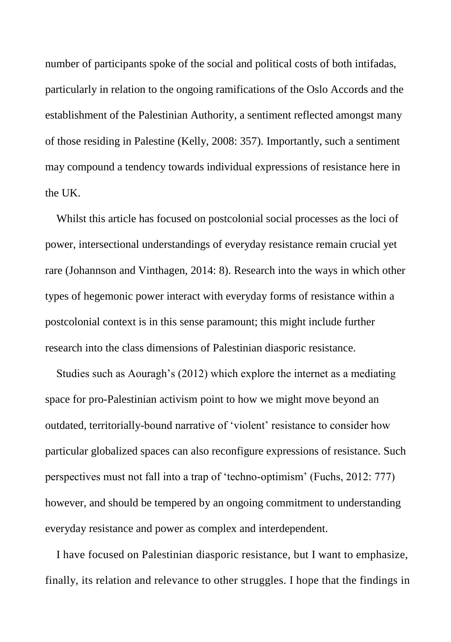number of participants spoke of the social and political costs of both intifadas, particularly in relation to the ongoing ramifications of the Oslo Accords and the establishment of the Palestinian Authority, a sentiment reflected amongst many of those residing in Palestine (Kelly, 2008: 357). Importantly, such a sentiment may compound a tendency towards individual expressions of resistance here in the UK.

Whilst this article has focused on postcolonial social processes as the loci of power, intersectional understandings of everyday resistance remain crucial yet rare (Johannson and Vinthagen, 2014: 8). Research into the ways in which other types of hegemonic power interact with everyday forms of resistance within a postcolonial context is in this sense paramount; this might include further research into the class dimensions of Palestinian diasporic resistance.

Studies such as Aouragh's (2012) which explore the internet as a mediating space for pro-Palestinian activism point to how we might move beyond an outdated, territorially-bound narrative of 'violent' resistance to consider how particular globalized spaces can also reconfigure expressions of resistance. Such perspectives must not fall into a trap of 'techno-optimism' (Fuchs, 2012: 777) however, and should be tempered by an ongoing commitment to understanding everyday resistance and power as complex and interdependent.

I have focused on Palestinian diasporic resistance, but I want to emphasize, finally, its relation and relevance to other struggles. I hope that the findings in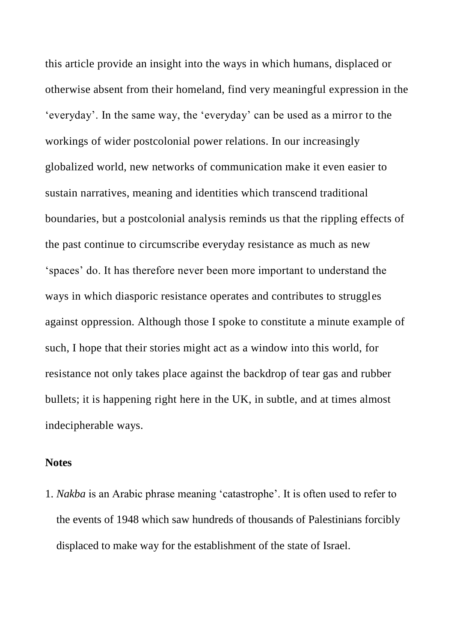this article provide an insight into the ways in which humans, displaced or otherwise absent from their homeland, find very meaningful expression in the 'everyday'. In the same way, the 'everyday' can be used as a mirror to the workings of wider postcolonial power relations. In our increasingly globalized world, new networks of communication make it even easier to sustain narratives, meaning and identities which transcend traditional boundaries, but a postcolonial analysis reminds us that the rippling effects of the past continue to circumscribe everyday resistance as much as new 'spaces' do. It has therefore never been more important to understand the ways in which diasporic resistance operates and contributes to struggles against oppression. Although those I spoke to constitute a minute example of such, I hope that their stories might act as a window into this world, for resistance not only takes place against the backdrop of tear gas and rubber bullets; it is happening right here in the UK, in subtle, and at times almost indecipherable ways.

## **Notes**

1. *Nakba* is an Arabic phrase meaning 'catastrophe'. It is often used to refer to the events of 1948 which saw hundreds of thousands of Palestinians forcibly displaced to make way for the establishment of the state of Israel.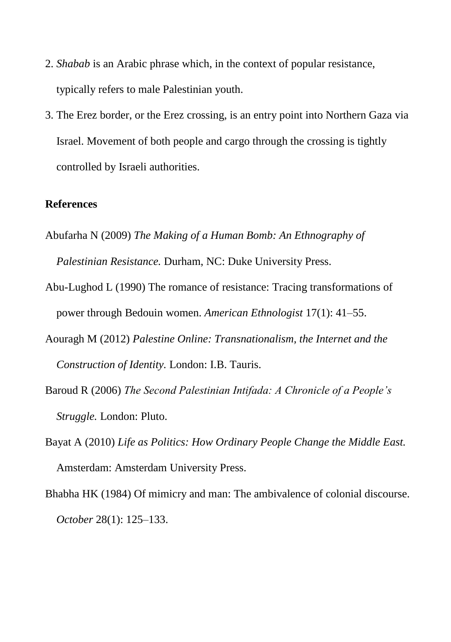- 2. *Shabab* is an Arabic phrase which, in the context of popular resistance, typically refers to male Palestinian youth.
- 3. The Erez border, or the Erez crossing, is an entry point into Northern Gaza via Israel. Movement of both people and cargo through the crossing is tightly controlled by Israeli authorities.

## **References**

- Abufarha N (2009) *The Making of a Human Bomb: An Ethnography of Palestinian Resistance.* Durham, NC: Duke University Press.
- Abu-Lughod L (1990) The romance of resistance: Tracing transformations of power through Bedouin women. *American Ethnologist* 17(1): 41–55.
- Aouragh M (2012) *Palestine Online: Transnationalism, the Internet and the Construction of Identity.* London: I.B. Tauris.
- Baroud R (2006) *The Second Palestinian Intifada: A Chronicle of a People's Struggle.* London: Pluto.
- Bayat A (2010) *Life as Politics: How Ordinary People Change the Middle East.*  Amsterdam: Amsterdam University Press.
- Bhabha HK (1984) Of mimicry and man: The ambivalence of colonial discourse. *October* 28(1): 125–133.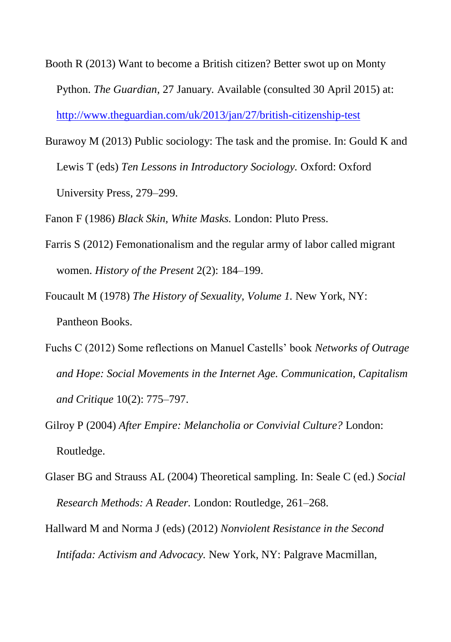- Booth R (2013) Want to become a British citizen? Better swot up on Monty Python. *The Guardian,* 27 January*.* Available (consulted 30 April 2015) at: <http://www.theguardian.com/uk/2013/jan/27/british-citizenship-test>
- Burawoy M (2013) Public sociology: The task and the promise. In: Gould K and Lewis T (eds) *Ten Lessons in Introductory Sociology.* Oxford: Oxford University Press, 279–299.

Fanon F (1986) *Black Skin, White Masks.* London: Pluto Press.

- Farris S (2012) Femonationalism and the regular army of labor called migrant women. *History of the Present* 2(2): 184–199.
- Foucault M (1978) *The History of Sexuality, Volume 1.* New York, NY: Pantheon Books.
- Fuchs C (2012) Some reflections on Manuel Castells' book *Networks of Outrage and Hope: Social Movements in the Internet Age. Communication, Capitalism and Critique* 10(2): 775–797.
- Gilroy P (2004) *After Empire: Melancholia or Convivial Culture?* London: Routledge.
- Glaser BG and Strauss AL (2004) Theoretical sampling. In: Seale C (ed.) *Social Research Methods: A Reader.* London: Routledge, 261–268.
- Hallward M and Norma J (eds) (2012) *Nonviolent Resistance in the Second Intifada: Activism and Advocacy.* New York, NY: Palgrave Macmillan,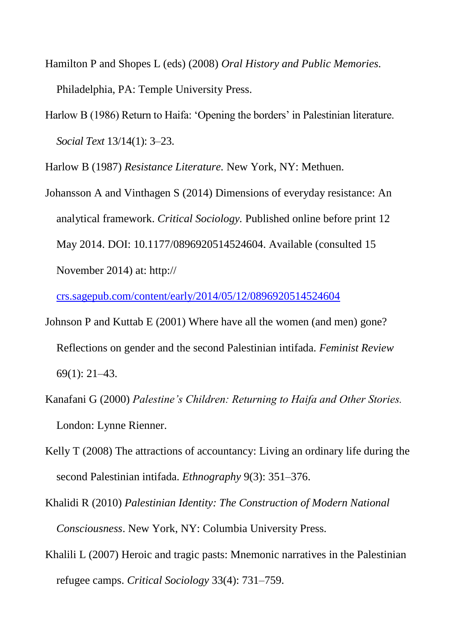- Hamilton P and Shopes L (eds) (2008) *Oral History and Public Memories.*  Philadelphia, PA: Temple University Press.
- Harlow B (1986) Return to Haifa: 'Opening the borders' in Palestinian literature. *Social Text* 13/14(1): 3–23.

Harlow B (1987) *Resistance Literature.* New York, NY: Methuen.

Johansson A and Vinthagen S (2014) Dimensions of everyday resistance: An analytical framework. *Critical Sociology.* Published online before print 12 May 2014. DOI: 10.1177/0896920514524604. Available (consulted 15 November 2014) at: http://

[crs.sagepub.com/content/early/2014/05/12/0896920514524604](http://crs.sagepub.com/content/early/2014/05/12/0896920514524604)

- Johnson P and Kuttab E (2001) Where have all the women (and men) gone? Reflections on gender and the second Palestinian intifada. *Feminist Review*  69(1): 21–43.
- Kanafani G (2000) *Palestine's Children: Returning to Haifa and Other Stories.*  London: Lynne Rienner.
- Kelly T (2008) The attractions of accountancy: Living an ordinary life during the second Palestinian intifada. *Ethnography* 9(3): 351–376.
- Khalidi R (2010) *Palestinian Identity: The Construction of Modern National Consciousness*. New York, NY: Columbia University Press.
- Khalili L (2007) Heroic and tragic pasts: Mnemonic narratives in the Palestinian refugee camps. *Critical Sociology* 33(4): 731–759.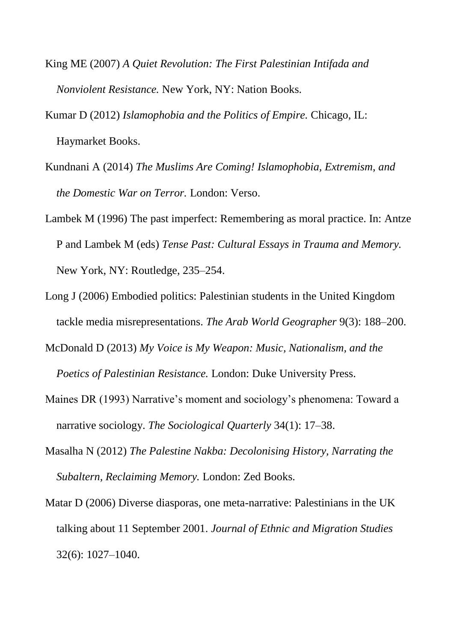- King ME (2007) *A Quiet Revolution: The First Palestinian Intifada and Nonviolent Resistance.* New York, NY: Nation Books.
- Kumar D (2012) *Islamophobia and the Politics of Empire.* Chicago, IL: Haymarket Books.
- Kundnani A (2014) *The Muslims Are Coming! Islamophobia, Extremism, and the Domestic War on Terror.* London: Verso.
- Lambek M (1996) The past imperfect: Remembering as moral practice. In: Antze P and Lambek M (eds) *Tense Past: Cultural Essays in Trauma and Memory.*  New York, NY: Routledge, 235–254.
- Long J (2006) Embodied politics: Palestinian students in the United Kingdom tackle media misrepresentations. *The Arab World Geographer* 9(3): 188–200.
- McDonald D (2013) *My Voice is My Weapon: Music, Nationalism, and the Poetics of Palestinian Resistance.* London: Duke University Press.
- Maines DR (1993) Narrative's moment and sociology's phenomena: Toward a narrative sociology. *The Sociological Quarterly* 34(1): 17–38.
- Masalha N (2012) *The Palestine Nakba: Decolonising History, Narrating the Subaltern, Reclaiming Memory.* London: Zed Books.
- Matar D (2006) Diverse diasporas, one meta-narrative: Palestinians in the UK talking about 11 September 2001. *Journal of Ethnic and Migration Studies*  32(6): 1027–1040.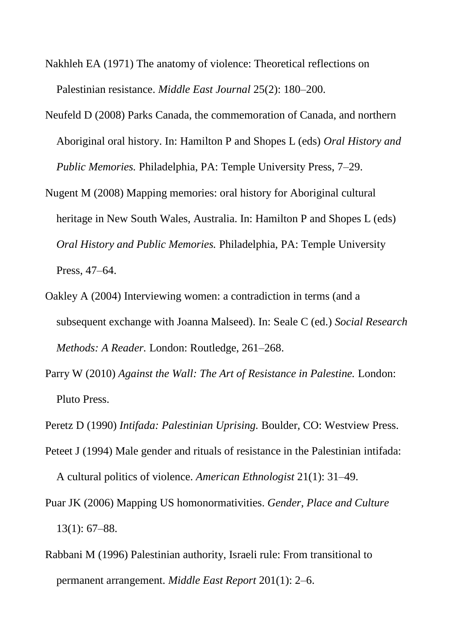- Nakhleh EA (1971) The anatomy of violence: Theoretical reflections on Palestinian resistance. *Middle East Journal* 25(2): 180–200.
- Neufeld D (2008) Parks Canada, the commemoration of Canada, and northern Aboriginal oral history. In: Hamilton P and Shopes L (eds) *Oral History and Public Memories.* Philadelphia, PA: Temple University Press, 7–29.
- Nugent M (2008) Mapping memories: oral history for Aboriginal cultural heritage in New South Wales, Australia. In: Hamilton P and Shopes L (eds) *Oral History and Public Memories.* Philadelphia, PA: Temple University Press, 47–64.
- Oakley A (2004) Interviewing women: a contradiction in terms (and a subsequent exchange with Joanna Malseed). In: Seale C (ed.) *Social Research Methods: A Reader.* London: Routledge, 261–268.
- Parry W (2010) *Against the Wall: The Art of Resistance in Palestine.* London: Pluto Press.
- Peretz D (1990) *Intifada: Palestinian Uprising.* Boulder*,* CO: Westview Press.
- Peteet J (1994) Male gender and rituals of resistance in the Palestinian intifada: A cultural politics of violence. *American Ethnologist* 21(1): 31–49.
- Puar JK (2006) Mapping US homonormativities. *Gender, Place and Culture*  13(1): 67–88.
- Rabbani M (1996) Palestinian authority, Israeli rule: From transitional to permanent arrangement. *Middle East Report* 201(1): 2–6.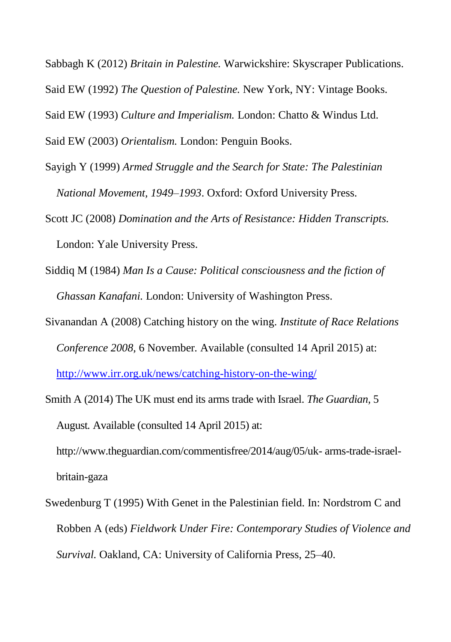Sabbagh K (2012) *Britain in Palestine.* Warwickshire: Skyscraper Publications. Said EW (1992) *The Question of Palestine.* New York, NY: Vintage Books. Said EW (1993) *Culture and Imperialism.* London: Chatto & Windus Ltd. Said EW (2003) *Orientalism.* London: Penguin Books.

Sayigh Y (1999) *Armed Struggle and the Search for State: The Palestinian National Movement, 1949–1993*. Oxford: Oxford University Press.

Scott JC (2008) *Domination and the Arts of Resistance: Hidden Transcripts.* London: Yale University Press.

Siddiq M (1984) *Man Is a Cause: Political consciousness and the fiction of Ghassan Kanafani.* London: University of Washington Press.

Sivanandan A (2008) Catching history on the wing. *Institute of Race Relations Conference 2008,* 6 November*.* Available (consulted 14 April 2015) at:

<http://www.irr.org.uk/news/catching-history-on-the-wing/>

Smith A (2014) The UK must end its arms trade with Israel. *The Guardian,* 5 August*.* Available (consulted 14 April 2015) at:

http://www.theguardian.com/commentisfree/2014/aug/05/uk- arms-trade-israelbritain-gaza

Swedenburg T (1995) With Genet in the Palestinian field. In: Nordstrom C and Robben A (eds) *Fieldwork Under Fire: Contemporary Studies of Violence and Survival.* Oakland, CA: University of California Press, 25–40.